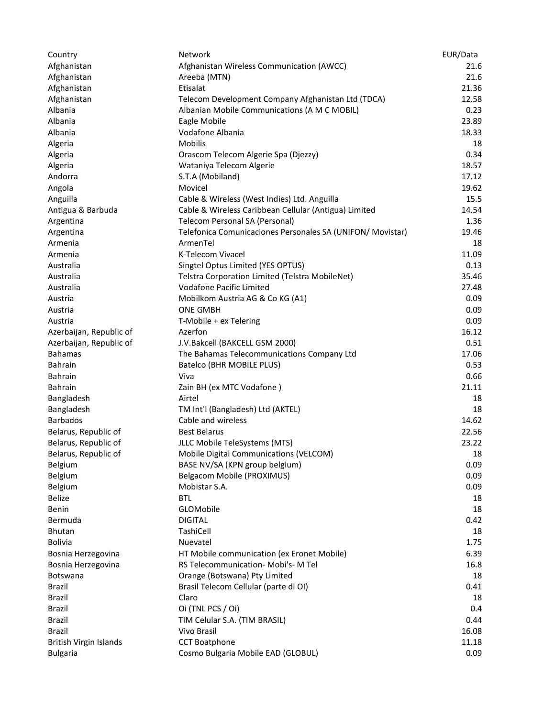| Country                 | Network                                                    | EUR/Data       |
|-------------------------|------------------------------------------------------------|----------------|
| Afghanistan             | Afghanistan Wireless Communication (AWCC)                  | 21.6           |
| Afghanistan             | Areeba (MTN)                                               | 21.6           |
| Afghanistan             | Etisalat                                                   | 21.36          |
| Afghanistan             | Telecom Development Company Afghanistan Ltd (TDCA)         | 12.58          |
| Albania                 | Albanian Mobile Communications (A M C MOBIL)               | 0.23           |
| Albania                 | Eagle Mobile                                               | 23.89          |
| Albania                 | Vodafone Albania                                           | 18.33          |
| Algeria                 | <b>Mobilis</b>                                             | 18             |
| Algeria                 | Orascom Telecom Algerie Spa (Djezzy)                       | 0.34           |
| Algeria                 | Wataniya Telecom Algerie                                   | 18.57          |
| Andorra                 | S.T.A (Mobiland)                                           | 17.12          |
| Angola                  | Movicel                                                    | 19.62          |
| Anguilla                | Cable & Wireless (West Indies) Ltd. Anguilla               | 15.5           |
| Antigua & Barbuda       | Cable & Wireless Caribbean Cellular (Antigua) Limited      | 14.54          |
| Argentina               | Telecom Personal SA (Personal)                             | 1.36           |
| Argentina               | Telefonica Comunicaciones Personales SA (UNIFON/ Movistar) | 19.46          |
| Armenia                 | ArmenTel                                                   | 18             |
| Armenia                 | K-Telecom Vivacel                                          | 11.09          |
| Australia               | Singtel Optus Limited (YES OPTUS)                          | 0.13           |
| Australia               | Telstra Corporation Limited (Telstra MobileNet)            | 35.46          |
| Australia               | Vodafone Pacific Limited                                   | 27.48          |
| Austria                 | Mobilkom Austria AG & Co KG (A1)                           | 0.09           |
| Austria                 | <b>ONE GMBH</b>                                            | 0.09           |
| Austria                 | T-Mobile + ex Telering                                     | 0.09           |
| Azerbaijan, Republic of | Azerfon                                                    | 16.12          |
| Azerbaijan, Republic of | J.V.Bakcell (BAKCELL GSM 2000)                             | 0.51           |
| <b>Bahamas</b>          | The Bahamas Telecommunications Company Ltd                 | 17.06          |
| <b>Bahrain</b>          | Batelco (BHR MOBILE PLUS)                                  | 0.53           |
| <b>Bahrain</b>          | Viva                                                       | 0.66           |
| <b>Bahrain</b>          | Zain BH (ex MTC Vodafone)                                  | 21.11          |
| Bangladesh              | Airtel                                                     | 18             |
| Bangladesh              | TM Int'l (Bangladesh) Ltd (AKTEL)                          | 18             |
| <b>Barbados</b>         | Cable and wireless                                         | 14.62          |
| Belarus, Republic of    | <b>Best Belarus</b>                                        | 22.56          |
| Belarus, Republic of    | JLLC Mobile TeleSystems (MTS)                              | 23.22          |
| Belarus, Republic of    | Mobile Digital Communications (VELCOM)                     | 18             |
| Belgium                 | BASE NV/SA (KPN group belgium)                             | 0.09           |
| Belgium                 | Belgacom Mobile (PROXIMUS)                                 | 0.09           |
| Belgium                 | Mobistar S.A.                                              | 0.09           |
| <b>Belize</b>           | <b>BTL</b>                                                 | 18             |
| Benin                   | GLOMobile                                                  | 18             |
| Bermuda                 | <b>DIGITAL</b>                                             | 0.42           |
| <b>Bhutan</b>           | TashiCell                                                  | 18             |
| <b>Bolivia</b>          | Nuevatel                                                   | 1.75           |
| Bosnia Herzegovina      | HT Mobile communication (ex Eronet Mobile)                 | 6.39           |
| Bosnia Herzegovina      | RS Telecommunication- Mobi's- M Tel                        | 16.8           |
| Botswana                | Orange (Botswana) Pty Limited                              | 18             |
| Brazil                  | Brasil Telecom Cellular (parte di OI)                      | 0.41           |
| Brazil                  | Claro                                                      |                |
| <b>Brazil</b>           | Oi (TNL PCS / Oi)                                          | 18<br>0.4      |
| <b>Brazil</b>           | TIM Celular S.A. (TIM BRASIL)                              | 0.44           |
| <b>Brazil</b>           | Vivo Brasil                                                |                |
| British Virgin Islands  | <b>CCT Boatphone</b>                                       | 16.08<br>11.18 |
| <b>Bulgaria</b>         |                                                            |                |
|                         | Cosmo Bulgaria Mobile EAD (GLOBUL)                         | 0.09           |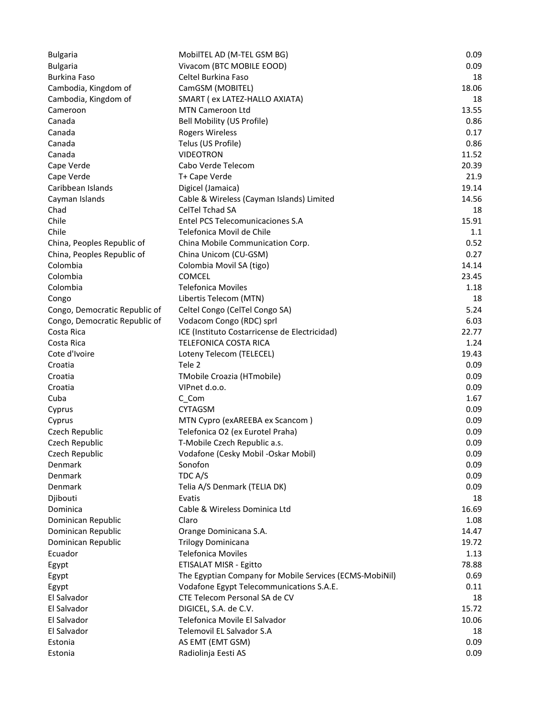| <b>Bulgaria</b>               | MobilTEL AD (M-TEL GSM BG)                              | 0.09  |
|-------------------------------|---------------------------------------------------------|-------|
| <b>Bulgaria</b>               | Vivacom (BTC MOBILE EOOD)                               | 0.09  |
| <b>Burkina Faso</b>           | Celtel Burkina Faso                                     | 18    |
| Cambodia, Kingdom of          | CamGSM (MOBITEL)                                        | 18.06 |
| Cambodia, Kingdom of          | SMART (ex LATEZ-HALLO AXIATA)                           | 18    |
| Cameroon                      | MTN Cameroon Ltd                                        | 13.55 |
| Canada                        | Bell Mobility (US Profile)                              | 0.86  |
| Canada                        | <b>Rogers Wireless</b>                                  | 0.17  |
| Canada                        | Telus (US Profile)                                      | 0.86  |
| Canada                        | <b>VIDEOTRON</b>                                        | 11.52 |
| Cape Verde                    | Cabo Verde Telecom                                      | 20.39 |
| Cape Verde                    | T+ Cape Verde                                           | 21.9  |
| Caribbean Islands             | Digicel (Jamaica)                                       | 19.14 |
| Cayman Islands                | Cable & Wireless (Cayman Islands) Limited               | 14.56 |
| Chad                          | <b>CelTel Tchad SA</b>                                  | 18    |
| Chile                         | Entel PCS Telecomunicaciones S.A                        | 15.91 |
| Chile                         | Telefonica Movil de Chile                               | 1.1   |
| China, Peoples Republic of    | China Mobile Communication Corp.                        | 0.52  |
| China, Peoples Republic of    | China Unicom (CU-GSM)                                   | 0.27  |
| Colombia                      | Colombia Movil SA (tigo)                                | 14.14 |
| Colombia                      | <b>COMCEL</b>                                           | 23.45 |
| Colombia                      | <b>Telefonica Moviles</b>                               | 1.18  |
| Congo                         | Libertis Telecom (MTN)                                  | 18    |
| Congo, Democratic Republic of | Celtel Congo (CelTel Congo SA)                          | 5.24  |
| Congo, Democratic Republic of | Vodacom Congo (RDC) sprl                                | 6.03  |
| Costa Rica                    | ICE (Instituto Costarricense de Electricidad)           | 22.77 |
| Costa Rica                    | TELEFONICA COSTA RICA                                   | 1.24  |
| Cote d'Ivoire                 | Loteny Telecom (TELECEL)                                | 19.43 |
| Croatia                       | Tele 2                                                  | 0.09  |
| Croatia                       | TMobile Croazia (HTmobile)                              | 0.09  |
| Croatia                       | VIPnet d.o.o.                                           | 0.09  |
| Cuba                          | C_Com                                                   | 1.67  |
| Cyprus                        | <b>CYTAGSM</b>                                          | 0.09  |
| Cyprus                        | MTN Cypro (exAREEBA ex Scancom)                         | 0.09  |
| Czech Republic                | Telefonica O2 (ex Eurotel Praha)                        | 0.09  |
| Czech Republic                | T-Mobile Czech Republic a.s.                            | 0.09  |
| Czech Republic                | Vodafone (Cesky Mobil -Oskar Mobil)                     | 0.09  |
| Denmark                       | Sonofon                                                 | 0.09  |
| Denmark                       | TDC A/S                                                 | 0.09  |
| Denmark                       | Telia A/S Denmark (TELIA DK)                            | 0.09  |
| Djibouti                      | Evatis                                                  | 18    |
| Dominica                      | Cable & Wireless Dominica Ltd                           | 16.69 |
| Dominican Republic            | Claro                                                   | 1.08  |
| Dominican Republic            | Orange Dominicana S.A.                                  | 14.47 |
| Dominican Republic            | <b>Trilogy Dominicana</b>                               | 19.72 |
| Ecuador                       | <b>Telefonica Moviles</b>                               | 1.13  |
| Egypt                         | <b>ETISALAT MISR - Egitto</b>                           | 78.88 |
| Egypt                         | The Egyptian Company for Mobile Services (ECMS-MobiNil) | 0.69  |
| Egypt                         | Vodafone Egypt Telecommunications S.A.E.                | 0.11  |
| El Salvador                   | CTE Telecom Personal SA de CV                           | 18    |
| El Salvador                   | DIGICEL, S.A. de C.V.                                   | 15.72 |
| El Salvador                   | Telefonica Movile El Salvador                           | 10.06 |
| El Salvador                   | Telemovil EL Salvador S.A                               | 18    |
| Estonia                       | AS EMT (EMT GSM)                                        | 0.09  |
| Estonia                       | Radiolinja Eesti AS                                     | 0.09  |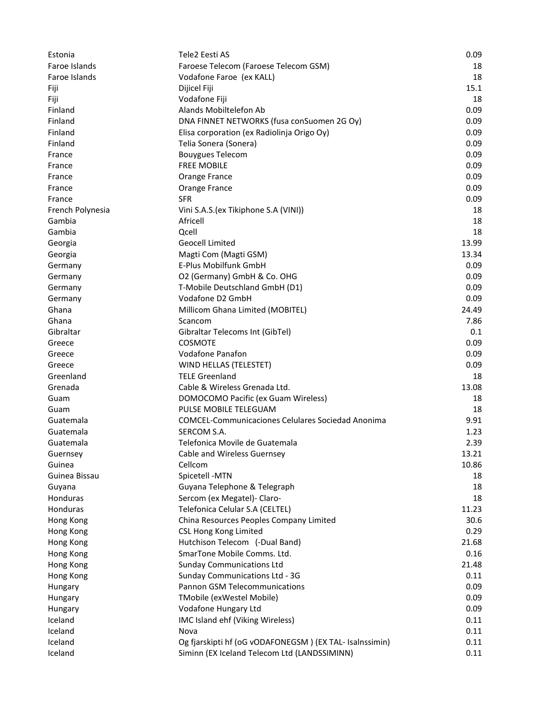| Estonia          | Tele2 Eesti AS                                           | 0.09  |
|------------------|----------------------------------------------------------|-------|
| Faroe Islands    | Faroese Telecom (Faroese Telecom GSM)                    | 18    |
| Faroe Islands    | Vodafone Faroe (ex KALL)                                 | 18    |
| Fiji             | Dijicel Fiji                                             | 15.1  |
| Fiji             | Vodafone Fiji                                            | 18    |
| Finland          | Alands Mobiltelefon Ab                                   | 0.09  |
| Finland          | DNA FINNET NETWORKS (fusa conSuomen 2G Oy)               | 0.09  |
| Finland          | Elisa corporation (ex Radiolinja Origo Oy)               | 0.09  |
| Finland          | Telia Sonera (Sonera)                                    | 0.09  |
| France           | <b>Bouygues Telecom</b>                                  | 0.09  |
| France           | <b>FREE MOBILE</b>                                       | 0.09  |
| France           | Orange France                                            | 0.09  |
| France           | Orange France                                            | 0.09  |
| France           | <b>SFR</b>                                               | 0.09  |
| French Polynesia | Vini S.A.S. (ex Tikiphone S.A (VINI))                    | 18    |
| Gambia           | Africell                                                 | 18    |
| Gambia           | Qcell                                                    | 18    |
| Georgia          | <b>Geocell Limited</b>                                   | 13.99 |
| Georgia          | Magti Com (Magti GSM)                                    | 13.34 |
| Germany          | E-Plus Mobilfunk GmbH                                    | 0.09  |
| Germany          | O2 (Germany) GmbH & Co. OHG                              | 0.09  |
| Germany          | T-Mobile Deutschland GmbH (D1)                           | 0.09  |
| Germany          | Vodafone D2 GmbH                                         | 0.09  |
| Ghana            | Millicom Ghana Limited (MOBITEL)                         | 24.49 |
| Ghana            | Scancom                                                  | 7.86  |
| Gibraltar        | Gibraltar Telecoms Int (GibTel)                          | 0.1   |
| Greece           | <b>COSMOTE</b>                                           | 0.09  |
| Greece           | <b>Vodafone Panafon</b>                                  | 0.09  |
| Greece           | WIND HELLAS (TELESTET)                                   | 0.09  |
| Greenland        | <b>TELE Greenland</b>                                    | 18    |
| Grenada          | Cable & Wireless Grenada Ltd.                            | 13.08 |
| Guam             | DOMOCOMO Pacific (ex Guam Wireless)                      | 18    |
| Guam             | PULSE MOBILE TELEGUAM                                    | 18    |
| Guatemala        | <b>COMCEL-Communicaciones Celulares Sociedad Anonima</b> | 9.91  |
| Guatemala        | SERCOM S.A.                                              | 1.23  |
| Guatemala        | Telefonica Movile de Guatemala                           | 2.39  |
| Guernsey         | Cable and Wireless Guernsey                              | 13.21 |
| Guinea           | Cellcom                                                  | 10.86 |
| Guinea Bissau    | Spicetell -MTN                                           | 18    |
| Guyana           | Guyana Telephone & Telegraph                             | 18    |
| Honduras         | Sercom (ex Megatel)- Claro-                              | 18    |
| Honduras         | Telefonica Celular S.A (CELTEL)                          | 11.23 |
| Hong Kong        | China Resources Peoples Company Limited                  | 30.6  |
| Hong Kong        | <b>CSL Hong Kong Limited</b>                             | 0.29  |
| Hong Kong        | Hutchison Telecom (-Dual Band)                           | 21.68 |
| Hong Kong        | SmarTone Mobile Comms. Ltd.                              | 0.16  |
| Hong Kong        | <b>Sunday Communications Ltd</b>                         | 21.48 |
| Hong Kong        | Sunday Communications Ltd - 3G                           | 0.11  |
| Hungary          | Pannon GSM Telecommunications                            | 0.09  |
| Hungary          | TMobile (exWestel Mobile)                                | 0.09  |
| Hungary          | Vodafone Hungary Ltd                                     | 0.09  |
| Iceland          | IMC Island ehf (Viking Wireless)                         | 0.11  |
| Iceland          | Nova                                                     | 0.11  |
| Iceland          | Og fjarskipti hf (oG vODAFONEGSM) (EX TAL- Isalnssimin)  | 0.11  |
| Iceland          | Siminn (EX Iceland Telecom Ltd (LANDSSIMINN)             | 0.11  |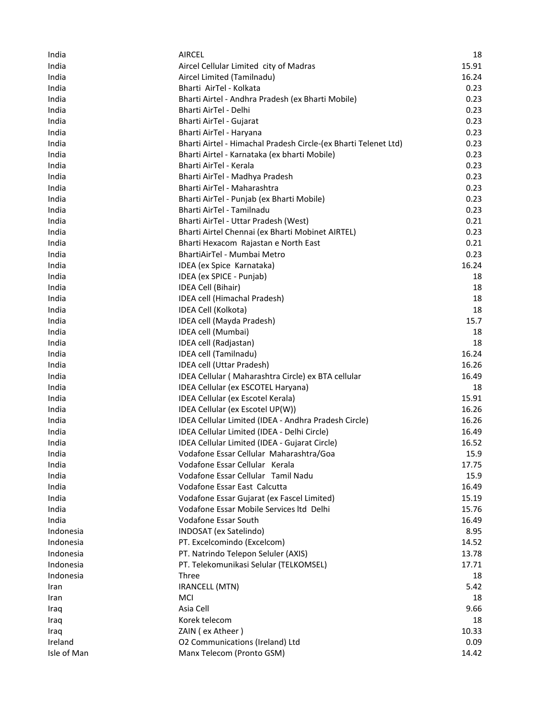| India       | <b>AIRCEL</b>                                                   | 18    |
|-------------|-----------------------------------------------------------------|-------|
| India       | Aircel Cellular Limited city of Madras                          | 15.91 |
| India       | Aircel Limited (Tamilnadu)                                      | 16.24 |
| India       | Bharti AirTel - Kolkata                                         | 0.23  |
| India       | Bharti Airtel - Andhra Pradesh (ex Bharti Mobile)               | 0.23  |
| India       | Bharti AirTel - Delhi                                           | 0.23  |
| India       | Bharti AirTel - Gujarat                                         | 0.23  |
| India       | Bharti AirTel - Haryana                                         | 0.23  |
| India       | Bharti Airtel - Himachal Pradesh Circle-(ex Bharti Telenet Ltd) | 0.23  |
| India       | Bharti Airtel - Karnataka (ex bharti Mobile)                    | 0.23  |
| India       | Bharti AirTel - Kerala                                          | 0.23  |
| India       | Bharti AirTel - Madhya Pradesh                                  | 0.23  |
| India       | Bharti AirTel - Maharashtra                                     | 0.23  |
| India       | Bharti AirTel - Punjab (ex Bharti Mobile)                       | 0.23  |
| India       | Bharti AirTel - Tamilnadu                                       | 0.23  |
| India       | Bharti AirTel - Uttar Pradesh (West)                            | 0.21  |
| India       | Bharti Airtel Chennai (ex Bharti Mobinet AIRTEL)                | 0.23  |
| India       | Bharti Hexacom Rajastan e North East                            | 0.21  |
| India       | BhartiAirTel - Mumbai Metro                                     | 0.23  |
| India       | IDEA (ex Spice Karnataka)                                       | 16.24 |
| India       | IDEA (ex SPICE - Punjab)                                        | 18    |
| India       | IDEA Cell (Bihair)                                              | 18    |
| India       | IDEA cell (Himachal Pradesh)                                    | 18    |
| India       | IDEA Cell (Kolkota)                                             | 18    |
| India       | IDEA cell (Mayda Pradesh)                                       | 15.7  |
| India       | IDEA cell (Mumbai)                                              | 18    |
| India       | IDEA cell (Radjastan)                                           | 18    |
| India       | IDEA cell (Tamilnadu)                                           | 16.24 |
| India       | IDEA cell (Uttar Pradesh)                                       | 16.26 |
| India       | IDEA Cellular (Maharashtra Circle) ex BTA cellular              | 16.49 |
| India       | IDEA Cellular (ex ESCOTEL Haryana)                              | 18    |
| India       | IDEA Cellular (ex Escotel Kerala)                               | 15.91 |
| India       | IDEA Cellular (ex Escotel UP(W))                                | 16.26 |
| India       | IDEA Cellular Limited (IDEA - Andhra Pradesh Circle)            | 16.26 |
| India       | IDEA Cellular Limited (IDEA - Delhi Circle)                     | 16.49 |
| India       | IDEA Cellular Limited (IDEA - Gujarat Circle)                   | 16.52 |
| India       | Vodafone Essar Cellular Maharashtra/Goa                         | 15.9  |
| India       | Vodafone Essar Cellular Kerala                                  | 17.75 |
| India       | Vodafone Essar Cellular Tamil Nadu                              | 15.9  |
| India       | Vodafone Essar East Calcutta                                    | 16.49 |
| India       | Vodafone Essar Gujarat (ex Fascel Limited)                      | 15.19 |
| India       | Vodafone Essar Mobile Services Itd Delhi                        | 15.76 |
| India       | Vodafone Essar South                                            | 16.49 |
| Indonesia   | INDOSAT (ex Satelindo)                                          | 8.95  |
| Indonesia   | PT. Excelcomindo (Excelcom)                                     | 14.52 |
| Indonesia   | PT. Natrindo Telepon Seluler (AXIS)                             | 13.78 |
| Indonesia   | PT. Telekomunikasi Selular (TELKOMSEL)                          | 17.71 |
| Indonesia   | Three                                                           | 18    |
| Iran        | <b>IRANCELL (MTN)</b>                                           | 5.42  |
| Iran        | <b>MCI</b>                                                      | 18    |
| Iraq        | Asia Cell                                                       | 9.66  |
| Iraq        | Korek telecom                                                   | 18    |
| Iraq        | ZAIN (ex Atheer)                                                | 10.33 |
| Ireland     | O2 Communications (Ireland) Ltd                                 | 0.09  |
| Isle of Man | Manx Telecom (Pronto GSM)                                       | 14.42 |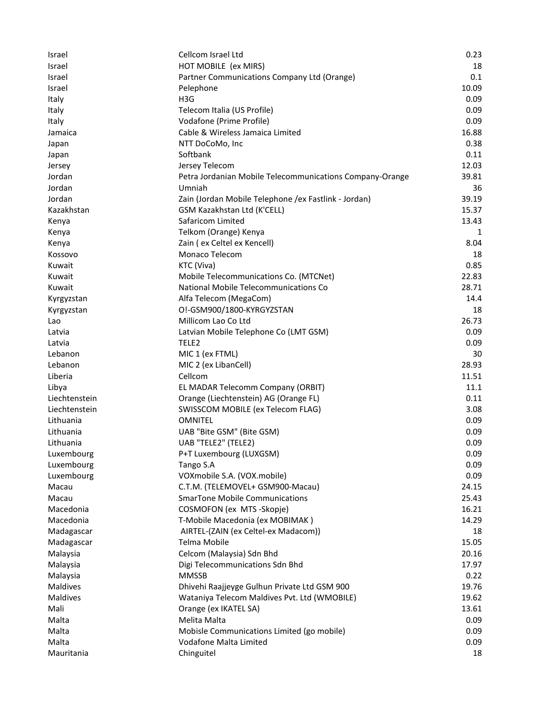| <b>Israel</b> | Cellcom Israel Ltd                                       | 0.23  |
|---------------|----------------------------------------------------------|-------|
| Israel        | HOT MOBILE (ex MIRS)                                     | 18    |
| Israel        | Partner Communications Company Ltd (Orange)              | 0.1   |
| Israel        | Pelephone                                                | 10.09 |
| Italy         | H <sub>3</sub> G                                         | 0.09  |
| Italy         | Telecom Italia (US Profile)                              | 0.09  |
| Italy         | Vodafone (Prime Profile)                                 | 0.09  |
| Jamaica       | Cable & Wireless Jamaica Limited                         | 16.88 |
| Japan         | NTT DoCoMo, Inc                                          | 0.38  |
| Japan         | Softbank                                                 | 0.11  |
| Jersey        | Jersey Telecom                                           | 12.03 |
| Jordan        | Petra Jordanian Mobile Telecommunications Company-Orange | 39.81 |
| Jordan        | Umniah                                                   | 36    |
| Jordan        | Zain (Jordan Mobile Telephone / ex Fastlink - Jordan)    | 39.19 |
| Kazakhstan    | GSM Kazakhstan Ltd (K'CELL)                              | 15.37 |
| Kenya         | Safaricom Limited                                        | 13.43 |
| Kenya         | Telkom (Orange) Kenya                                    | 1     |
| Kenya         | Zain (ex Celtel ex Kencell)                              | 8.04  |
| Kossovo       | Monaco Telecom                                           | 18    |
| Kuwait        | KTC (Viva)                                               | 0.85  |
| Kuwait        | Mobile Telecommunications Co. (MTCNet)                   | 22.83 |
| Kuwait        | National Mobile Telecommunications Co                    | 28.71 |
| Kyrgyzstan    | Alfa Telecom (MegaCom)                                   | 14.4  |
| Kyrgyzstan    | O!-GSM900/1800-KYRGYZSTAN                                | 18    |
| Lao           | Millicom Lao Co Ltd                                      | 26.73 |
| Latvia        | Latvian Mobile Telephone Co (LMT GSM)                    | 0.09  |
| Latvia        | TELE <sub>2</sub>                                        | 0.09  |
| Lebanon       | MIC 1 (ex FTML)                                          | 30    |
| Lebanon       | MIC 2 (ex LibanCell)                                     | 28.93 |
| Liberia       | Cellcom                                                  | 11.51 |
| Libya         | EL MADAR Telecomm Company (ORBIT)                        | 11.1  |
| Liechtenstein | Orange (Liechtenstein) AG (Orange FL)                    | 0.11  |
| Liechtenstein | SWISSCOM MOBILE (ex Telecom FLAG)                        | 3.08  |
| Lithuania     | <b>OMNITEL</b>                                           | 0.09  |
| Lithuania     | UAB "Bite GSM" (Bite GSM)                                | 0.09  |
| Lithuania     | UAB "TELE2" (TELE2)                                      | 0.09  |
| Luxembourg    | P+T Luxembourg (LUXGSM)                                  | 0.09  |
| Luxembourg    | Tango S.A                                                | 0.09  |
| Luxembourg    | VOXmobile S.A. (VOX.mobile)                              | 0.09  |
| Macau         | C.T.M. (TELEMOVEL+ GSM900-Macau)                         | 24.15 |
| Macau         | <b>SmarTone Mobile Communications</b>                    | 25.43 |
| Macedonia     | COSMOFON (ex MTS -Skopje)                                | 16.21 |
| Macedonia     | T-Mobile Macedonia (ex MOBIMAK)                          | 14.29 |
| Madagascar    | AIRTEL-(ZAIN (ex Celtel-ex Madacom))                     | 18    |
| Madagascar    | Telma Mobile                                             | 15.05 |
| Malaysia      | Celcom (Malaysia) Sdn Bhd                                | 20.16 |
| Malaysia      | Digi Telecommunications Sdn Bhd                          | 17.97 |
| Malaysia      | <b>MMSSB</b>                                             | 0.22  |
| Maldives      | Dhivehi Raajjeyge Gulhun Private Ltd GSM 900             | 19.76 |
| Maldives      | Wataniya Telecom Maldives Pvt. Ltd (WMOBILE)             | 19.62 |
| Mali          | Orange (ex IKATEL SA)                                    | 13.61 |
| Malta         | Melita Malta                                             | 0.09  |
| Malta         | Mobisle Communications Limited (go mobile)               | 0.09  |
| Malta         | Vodafone Malta Limited                                   | 0.09  |
| Mauritania    | Chinguitel                                               | 18    |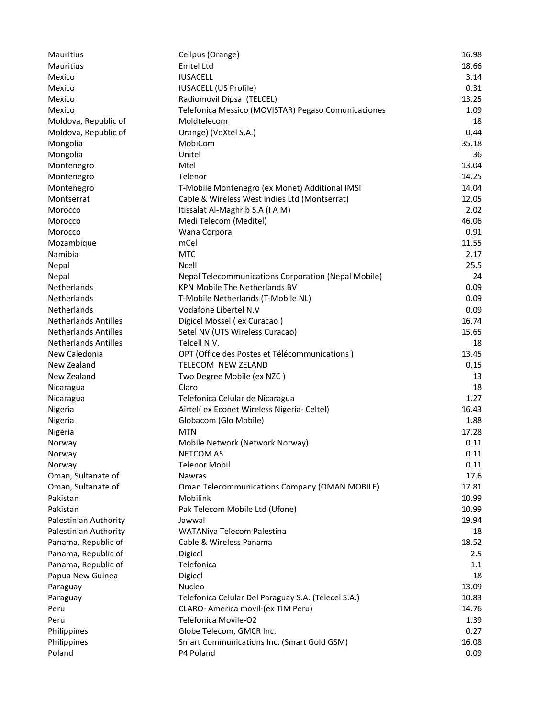| Mauritius                   | Cellpus (Orange)                                           | 16.98 |
|-----------------------------|------------------------------------------------------------|-------|
| Mauritius                   | Emtel Ltd                                                  | 18.66 |
| Mexico                      | <b>IUSACELL</b>                                            | 3.14  |
| Mexico                      | <b>IUSACELL (US Profile)</b>                               | 0.31  |
| Mexico                      | Radiomovil Dipsa (TELCEL)                                  | 13.25 |
| Mexico                      | Telefonica Messico (MOVISTAR) Pegaso Comunicaciones        | 1.09  |
| Moldova, Republic of        | Moldtelecom                                                | 18    |
| Moldova, Republic of        | Orange) (VoXtel S.A.)                                      | 0.44  |
| Mongolia                    | MobiCom                                                    | 35.18 |
| Mongolia                    | Unitel                                                     | 36    |
| Montenegro                  | Mtel                                                       | 13.04 |
| Montenegro                  | Telenor                                                    | 14.25 |
| Montenegro                  | T-Mobile Montenegro (ex Monet) Additional IMSI             | 14.04 |
| Montserrat                  | Cable & Wireless West Indies Ltd (Montserrat)              | 12.05 |
| Morocco                     | Itissalat Al-Maghrib S.A (I A M)                           | 2.02  |
| Morocco                     | Medi Telecom (Meditel)                                     | 46.06 |
| Morocco                     | Wana Corpora                                               | 0.91  |
| Mozambique                  | mCel                                                       | 11.55 |
| Namibia                     | <b>MTC</b>                                                 | 2.17  |
| Nepal                       | <b>Ncell</b>                                               | 25.5  |
| Nepal                       | <b>Nepal Telecommunications Corporation (Nepal Mobile)</b> | 24    |
| Netherlands                 | <b>KPN Mobile The Netherlands BV</b>                       | 0.09  |
| Netherlands                 | T-Mobile Netherlands (T-Mobile NL)                         | 0.09  |
| Netherlands                 | Vodafone Libertel N.V                                      | 0.09  |
| <b>Netherlands Antilles</b> | Digicel Mossel (ex Curacao)                                | 16.74 |
| <b>Netherlands Antilles</b> | Setel NV (UTS Wireless Curacao)                            | 15.65 |
| <b>Netherlands Antilles</b> | Telcell N.V.                                               | 18    |
| New Caledonia               | OPT (Office des Postes et Télécommunications)              | 13.45 |
| New Zealand                 | TELECOM NEW ZELAND                                         | 0.15  |
| New Zealand                 | Two Degree Mobile (ex NZC)                                 | 13    |
| Nicaragua                   | Claro                                                      | 18    |
| Nicaragua                   | Telefonica Celular de Nicaragua                            | 1.27  |
| Nigeria                     | Airtel( ex Econet Wireless Nigeria- Celtel)                | 16.43 |
| Nigeria                     | Globacom (Glo Mobile)                                      | 1.88  |
| Nigeria                     | <b>MTN</b>                                                 | 17.28 |
| Norway                      | Mobile Network (Network Norway)                            | 0.11  |
| Norway                      | <b>NETCOM AS</b>                                           | 0.11  |
| Norway                      | <b>Telenor Mobil</b>                                       | 0.11  |
| Oman, Sultanate of          | Nawras                                                     | 17.6  |
| Oman, Sultanate of          | <b>Oman Telecommunications Company (OMAN MOBILE)</b>       | 17.81 |
| Pakistan                    | Mobilink                                                   | 10.99 |
| Pakistan                    | Pak Telecom Mobile Ltd (Ufone)                             | 10.99 |
| Palestinian Authority       | Jawwal                                                     | 19.94 |
| Palestinian Authority       | WATANiya Telecom Palestina                                 | 18    |
| Panama, Republic of         | Cable & Wireless Panama                                    | 18.52 |
| Panama, Republic of         | Digicel                                                    | 2.5   |
| Panama, Republic of         | Telefonica                                                 | 1.1   |
| Papua New Guinea            | Digicel                                                    | 18    |
|                             |                                                            |       |
| Paraguay                    | Nucleo                                                     | 13.09 |
| Paraguay                    | Telefonica Celular Del Paraguay S.A. (Telecel S.A.)        | 10.83 |
| Peru                        | CLARO- America movil-(ex TIM Peru)                         | 14.76 |
| Peru                        | Telefonica Movile-O2                                       | 1.39  |
| Philippines                 | Globe Telecom, GMCR Inc.                                   | 0.27  |
| Philippines                 | Smart Communications Inc. (Smart Gold GSM)                 | 16.08 |
| Poland                      | P4 Poland                                                  | 0.09  |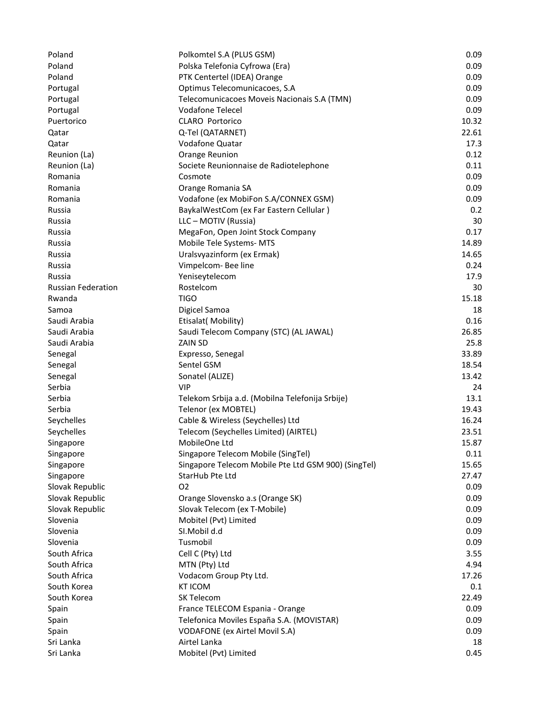| Poland                    | Polkomtel S.A (PLUS GSM)                            | 0.09  |
|---------------------------|-----------------------------------------------------|-------|
| Poland                    | Polska Telefonia Cyfrowa (Era)                      | 0.09  |
| Poland                    | PTK Centertel (IDEA) Orange                         | 0.09  |
| Portugal                  | Optimus Telecomunicacoes, S.A                       | 0.09  |
| Portugal                  | Telecomunicacoes Moveis Nacionais S.A (TMN)         | 0.09  |
| Portugal                  | <b>Vodafone Telecel</b>                             | 0.09  |
| Puertorico                | <b>CLARO Portorico</b>                              | 10.32 |
| Qatar                     | Q-Tel (QATARNET)                                    | 22.61 |
| Qatar                     | Vodafone Quatar                                     | 17.3  |
| Reunion (La)              | Orange Reunion                                      | 0.12  |
| Reunion (La)              | Societe Reunionnaise de Radiotelephone              | 0.11  |
| Romania                   | Cosmote                                             | 0.09  |
| Romania                   | Orange Romania SA                                   | 0.09  |
| Romania                   | Vodafone (ex MobiFon S.A/CONNEX GSM)                | 0.09  |
| Russia                    | BaykalWestCom (ex Far Eastern Cellular)             | 0.2   |
| Russia                    | LLC - MOTIV (Russia)                                | 30    |
| Russia                    | MegaFon, Open Joint Stock Company                   | 0.17  |
| Russia                    | Mobile Tele Systems-MTS                             | 14.89 |
| Russia                    | Uralsvyazinform (ex Ermak)                          | 14.65 |
| Russia                    | Vimpelcom-Bee line                                  | 0.24  |
| Russia                    | Yeniseytelecom                                      | 17.9  |
| <b>Russian Federation</b> | Rostelcom                                           | 30    |
| Rwanda                    | <b>TIGO</b>                                         | 15.18 |
| Samoa                     | Digicel Samoa                                       | 18    |
| Saudi Arabia              | Etisalat(Mobility)                                  | 0.16  |
| Saudi Arabia              | Saudi Telecom Company (STC) (AL JAWAL)              | 26.85 |
| Saudi Arabia              | ZAIN SD                                             | 25.8  |
| Senegal                   | Expresso, Senegal                                   | 33.89 |
| Senegal                   | Sentel GSM                                          | 18.54 |
| Senegal                   | Sonatel (ALIZE)                                     | 13.42 |
| Serbia                    | <b>VIP</b>                                          | 24    |
| Serbia                    | Telekom Srbija a.d. (Mobilna Telefonija Srbije)     | 13.1  |
| Serbia                    | Telenor (ex MOBTEL)                                 | 19.43 |
| Seychelles                | Cable & Wireless (Seychelles) Ltd                   | 16.24 |
| Seychelles                | Telecom (Seychelles Limited) (AIRTEL)               | 23.51 |
| Singapore                 | MobileOne Ltd                                       | 15.87 |
| Singapore                 | Singapore Telecom Mobile (SingTel)                  | 0.11  |
| Singapore                 | Singapore Telecom Mobile Pte Ltd GSM 900) (SingTel) | 15.65 |
| Singapore                 | StarHub Pte Ltd                                     | 27.47 |
| Slovak Republic           | O <sub>2</sub>                                      | 0.09  |
| Slovak Republic           | Orange Slovensko a.s (Orange SK)                    | 0.09  |
| Slovak Republic           | Slovak Telecom (ex T-Mobile)                        | 0.09  |
| Slovenia                  | Mobitel (Pvt) Limited                               | 0.09  |
| Slovenia                  | SI.Mobil d.d                                        | 0.09  |
| Slovenia                  | Tusmobil                                            | 0.09  |
| South Africa              | Cell C (Pty) Ltd                                    | 3.55  |
| South Africa              | MTN (Pty) Ltd                                       | 4.94  |
| South Africa              | Vodacom Group Pty Ltd.                              | 17.26 |
| South Korea               | <b>KT ICOM</b>                                      | 0.1   |
| South Korea               | SK Telecom                                          | 22.49 |
| Spain                     | France TELECOM Espania - Orange                     | 0.09  |
| Spain                     | Telefonica Moviles España S.A. (MOVISTAR)           | 0.09  |
| Spain                     | <b>VODAFONE</b> (ex Airtel Movil S.A)               | 0.09  |
| Sri Lanka                 | Airtel Lanka                                        | 18    |
| Sri Lanka                 | Mobitel (Pvt) Limited                               | 0.45  |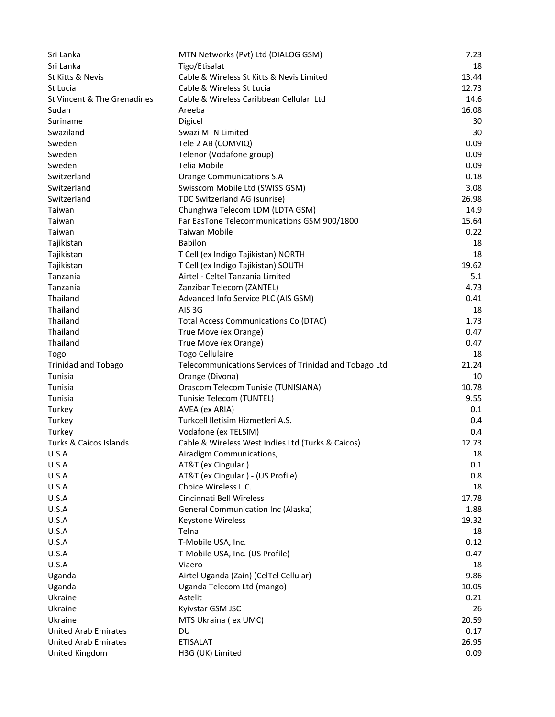| Sri Lanka                   | MTN Networks (Pvt) Ltd (DIALOG GSM)                    | 7.23  |
|-----------------------------|--------------------------------------------------------|-------|
| Sri Lanka                   | Tigo/Etisalat                                          | 18    |
| St Kitts & Nevis            | Cable & Wireless St Kitts & Nevis Limited              | 13.44 |
| St Lucia                    | Cable & Wireless St Lucia                              | 12.73 |
| St Vincent & The Grenadines | Cable & Wireless Caribbean Cellular Ltd                | 14.6  |
| Sudan                       | Areeba                                                 | 16.08 |
| Suriname                    | Digicel                                                | 30    |
| Swaziland                   | Swazi MTN Limited                                      | 30    |
| Sweden                      | Tele 2 AB (COMVIQ)                                     | 0.09  |
| Sweden                      | Telenor (Vodafone group)                               | 0.09  |
| Sweden                      | Telia Mobile                                           | 0.09  |
| Switzerland                 | <b>Orange Communications S.A</b>                       | 0.18  |
| Switzerland                 | Swisscom Mobile Ltd (SWISS GSM)                        | 3.08  |
| Switzerland                 | TDC Switzerland AG (sunrise)                           | 26.98 |
| Taiwan                      | Chunghwa Telecom LDM (LDTA GSM)                        | 14.9  |
| Taiwan                      | Far EasTone Telecommunications GSM 900/1800            | 15.64 |
| Taiwan                      | <b>Taiwan Mobile</b>                                   | 0.22  |
| Tajikistan                  | <b>Babilon</b>                                         | 18    |
| Tajikistan                  | T Cell (ex Indigo Tajikistan) NORTH                    | 18    |
| Tajikistan                  | T Cell (ex Indigo Tajikistan) SOUTH                    | 19.62 |
| Tanzania                    | Airtel - Celtel Tanzania Limited                       | 5.1   |
| Tanzania                    | Zanzibar Telecom (ZANTEL)                              | 4.73  |
| Thailand                    | Advanced Info Service PLC (AIS GSM)                    | 0.41  |
| Thailand                    | AIS 3G                                                 | 18    |
| Thailand                    | <b>Total Access Communications Co (DTAC)</b>           | 1.73  |
| Thailand                    | True Move (ex Orange)                                  | 0.47  |
| Thailand                    | True Move (ex Orange)                                  | 0.47  |
| Togo                        | <b>Togo Cellulaire</b>                                 | 18    |
| <b>Trinidad and Tobago</b>  | Telecommunications Services of Trinidad and Tobago Ltd | 21.24 |
| Tunisia                     | Orange (Divona)                                        | 10    |
| Tunisia                     | Orascom Telecom Tunisie (TUNISIANA)                    | 10.78 |
| Tunisia                     | Tunisie Telecom (TUNTEL)                               | 9.55  |
| Turkey                      | AVEA (ex ARIA)                                         | 0.1   |
| Turkey                      | Turkcell Iletisim Hizmetleri A.S.                      | 0.4   |
| Turkey                      | Vodafone (ex TELSIM)                                   | 0.4   |
| Turks & Caicos Islands      | Cable & Wireless West Indies Ltd (Turks & Caicos)      | 12.73 |
| U.S.A                       | Airadigm Communications,                               | 18    |
| U.S.A                       | AT&T (ex Cingular)                                     | 0.1   |
| U.S.A                       | AT&T (ex Cingular) - (US Profile)                      | 0.8   |
| U.S.A                       | Choice Wireless L.C.                                   | 18    |
| U.S.A                       | Cincinnati Bell Wireless                               | 17.78 |
| U.S.A                       | <b>General Communication Inc (Alaska)</b>              | 1.88  |
| U.S.A                       | Keystone Wireless                                      | 19.32 |
| U.S.A                       | Telna                                                  | 18    |
| U.S.A                       | T-Mobile USA, Inc.                                     | 0.12  |
| U.S.A                       | T-Mobile USA, Inc. (US Profile)                        | 0.47  |
| U.S.A                       | Viaero                                                 | 18    |
| Uganda                      | Airtel Uganda (Zain) (CelTel Cellular)                 | 9.86  |
| Uganda                      | Uganda Telecom Ltd (mango)                             | 10.05 |
| Ukraine                     | Astelit                                                | 0.21  |
| Ukraine                     | Kyivstar GSM JSC                                       | 26    |
| Ukraine                     | MTS Ukraina (ex UMC)                                   | 20.59 |
| <b>United Arab Emirates</b> | DU                                                     | 0.17  |
| <b>United Arab Emirates</b> | <b>ETISALAT</b>                                        | 26.95 |
| United Kingdom              | H3G (UK) Limited                                       | 0.09  |